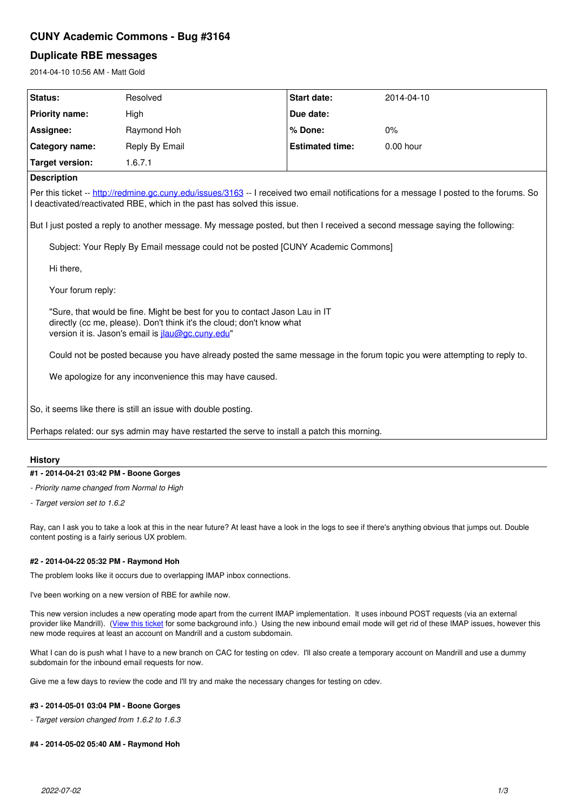# **CUNY Academic Commons - Bug #3164**

# **Duplicate RBE messages**

2014-04-10 10:56 AM - Matt Gold

| Status:                                                                                                                                                                                                             | Resolved       | <b>Start date:</b>     | 2014-04-10  |
|---------------------------------------------------------------------------------------------------------------------------------------------------------------------------------------------------------------------|----------------|------------------------|-------------|
|                                                                                                                                                                                                                     |                |                        |             |
| <b>Priority name:</b>                                                                                                                                                                                               | High           | Due date:              |             |
| Assignee:                                                                                                                                                                                                           | Raymond Hoh    | % Done:                | 0%          |
| Category name:                                                                                                                                                                                                      | Reply By Email | <b>Estimated time:</b> | $0.00$ hour |
| <b>Target version:</b>                                                                                                                                                                                              | 1.6.7.1        |                        |             |
| <b>Description</b>                                                                                                                                                                                                  |                |                        |             |
| Per this ticket -- http://redmine.gc.cuny.edu/issues/3163 -- I received two email notifications for a message I posted to the forums. So<br>I deactivated/reactivated RBE, which in the past has solved this issue. |                |                        |             |
| But I just posted a reply to another message. My message posted, but then I received a second message saying the following:                                                                                         |                |                        |             |
| Subject: Your Reply By Email message could not be posted [CUNY Academic Commons]                                                                                                                                    |                |                        |             |
| Hi there,                                                                                                                                                                                                           |                |                        |             |
| Your forum reply:                                                                                                                                                                                                   |                |                        |             |
| "Sure, that would be fine. Might be best for you to contact Jason Lau in IT<br>directly (cc me, please). Don't think it's the cloud; don't know what<br>version it is. Jason's email is jlau@gc.cuny.edu"           |                |                        |             |
| Could not be posted because you have already posted the same message in the forum topic you were attempting to reply to.                                                                                            |                |                        |             |
| We apologize for any inconvenience this may have caused.                                                                                                                                                            |                |                        |             |
| So, it seems like there is still an issue with double posting.                                                                                                                                                      |                |                        |             |
| Perhaps related: our sys admin may have restarted the serve to install a patch this morning.                                                                                                                        |                |                        |             |

## **History**

## **#1 - 2014-04-21 03:42 PM - Boone Gorges**

*- Priority name changed from Normal to High*

*- Target version set to 1.6.2*

Ray, can I ask you to take a look at this in the near future? At least have a look in the logs to see if there's anything obvious that jumps out. Double content posting is a fairly serious UX problem.

### **#2 - 2014-04-22 05:32 PM - Raymond Hoh**

The problem looks like it occurs due to overlapping IMAP inbox connections.

I've been working on a new version of RBE for awhile now.

This new version includes a new operating mode apart from the current IMAP implementation. It uses inbound POST requests (via an external provider like Mandrill). ([View this ticket](https://github.com/r-a-y/bp-reply-by-email/issues/46) for some background info.) Using the new inbound email mode will get rid of these IMAP issues, however this new mode requires at least an account on Mandrill and a custom subdomain.

What I can do is push what I have to a new branch on CAC for testing on cdev. I'll also create a temporary account on Mandrill and use a dummy subdomain for the inbound email requests for now.

Give me a few days to review the code and I'll try and make the necessary changes for testing on cdev.

### **#3 - 2014-05-01 03:04 PM - Boone Gorges**

*- Target version changed from 1.6.2 to 1.6.3*

### **#4 - 2014-05-02 05:40 AM - Raymond Hoh**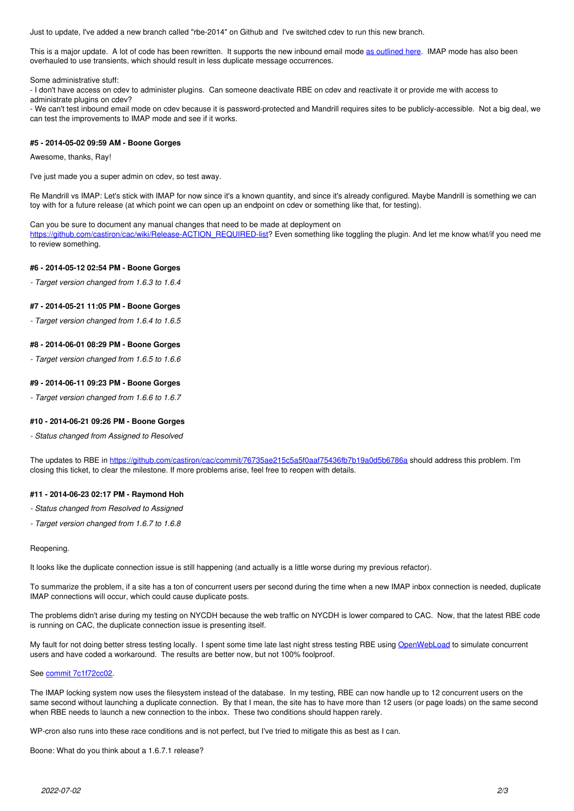Just to update, I've added a new branch called "rbe-2014" on Github and I've switched cdev to run this new branch.

This is a major update. A lot of code has been rewritten. It supports the new inbound email mode [as outlined here.](https://github.com/r-a-y/bp-reply-by-email/issues/46) IMAP mode has also been overhauled to use transients, which should result in less duplicate message occurrences.

Some administrative stuff:

- I don't have access on cdev to administer plugins. Can someone deactivate RBE on cdev and reactivate it or provide me with access to administrate plugins on cdev?

- We can't test inbound email mode on cdev because it is password-protected and Mandrill requires sites to be publicly-accessible. Not a big deal, we can test the improvements to IMAP mode and see if it works.

#### **#5 - 2014-05-02 09:59 AM - Boone Gorges**

Awesome, thanks, Ray!

I've just made you a super admin on cdev, so test away.

Re Mandrill vs IMAP: Let's stick with IMAP for now since it's a known quantity, and since it's already configured. Maybe Mandrill is something we can toy with for a future release (at which point we can open up an endpoint on cdev or something like that, for testing).

#### Can you be sure to document any manual changes that need to be made at deployment on

[https://github.com/castiron/cac/wiki/Release-ACTION\\_REQUIRED-list](https://github.com/castiron/cac/wiki/Release-ACTION_REQUIRED-list)? Even something like toggling the plugin. And let me know what/if you need me to review something.

### **#6 - 2014-05-12 02:54 PM - Boone Gorges**

*- Target version changed from 1.6.3 to 1.6.4*

#### **#7 - 2014-05-21 11:05 PM - Boone Gorges**

*- Target version changed from 1.6.4 to 1.6.5*

#### **#8 - 2014-06-01 08:29 PM - Boone Gorges**

*- Target version changed from 1.6.5 to 1.6.6*

#### **#9 - 2014-06-11 09:23 PM - Boone Gorges**

*- Target version changed from 1.6.6 to 1.6.7*

#### **#10 - 2014-06-21 09:26 PM - Boone Gorges**

*- Status changed from Assigned to Resolved*

The updates to RBE in <https://github.com/castiron/cac/commit/76735ae215c5a5f0aaf75436fb7b19a0d5b6786a>should address this problem. I'm closing this ticket, to clear the milestone. If more problems arise, feel free to reopen with details.

#### **#11 - 2014-06-23 02:17 PM - Raymond Hoh**

- *Status changed from Resolved to Assigned*
- *Target version changed from 1.6.7 to 1.6.8*

#### Reopening.

It looks like the duplicate connection issue is still happening (and actually is a little worse during my previous refactor).

To summarize the problem, if a site has a ton of concurrent users per second during the time when a new IMAP inbox connection is needed, duplicate IMAP connections will occur, which could cause duplicate posts.

The problems didn't arise during my testing on NYCDH because the web traffic on NYCDH is lower compared to CAC. Now, that the latest RBE code is running on CAC, the duplicate connection issue is presenting itself.

My fault for not doing better stress testing locally. I spent some time late last night stress testing RBE using [OpenWebLoad](http://openwebload.sourceforge.net/) to simulate concurrent users and have coded a workaround. The results are better now, but not 100% foolproof.

#### See [commit 7c1f72cc02.](https://github.com/cuny-academic-commons/cac/commit/7c1f72cc029975b218376d93c365ab8d42dbbb43)

The IMAP locking system now uses the filesystem instead of the database. In my testing, RBE can now handle up to 12 concurrent users on the same second without launching a duplicate connection. By that I mean, the site has to have more than 12 users (or page loads) on the same second when RBE needs to launch a new connection to the inbox. These two conditions should happen rarely.

WP-cron also runs into these race conditions and is not perfect, but I've tried to mitigate this as best as I can.

Boone: What do you think about a 1.6.7.1 release?